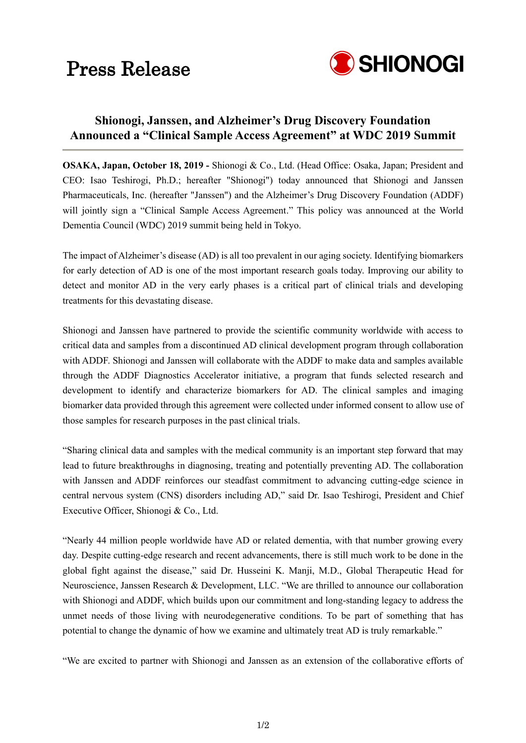## Press Release



### **Shionogi, Janssen, and Alzheimer's Drug Discovery Foundation Announced a "Clinical Sample Access Agreement" at WDC 2019 Summit**

**OSAKA, Japan, October 18, 2019 -** Shionogi & Co., Ltd. (Head Office: Osaka, Japan; President and CEO: Isao Teshirogi, Ph.D.; hereafter "Shionogi") today announced that Shionogi and Janssen Pharmaceuticals, Inc. (hereafter "Janssen") and the Alzheimer's Drug Discovery Foundation (ADDF) will jointly sign a "Clinical Sample Access Agreement." This policy was announced at the World Dementia Council (WDC) 2019 summit being held in Tokyo.

The impact of Alzheimer's disease (AD) is all too prevalent in our aging society. Identifying biomarkers for early detection of AD is one of the most important research goals today. Improving our ability to detect and monitor AD in the very early phases is a critical part of clinical trials and developing treatments for this devastating disease.

Shionogi and Janssen have partnered to provide the scientific community worldwide with access to critical data and samples from a discontinued AD clinical development program through collaboration with ADDF. Shionogi and Janssen will collaborate with the ADDF to make data and samples available through the ADDF Diagnostics Accelerator initiative, a program that funds selected research and development to identify and characterize biomarkers for AD. The clinical samples and imaging biomarker data provided through this agreement were collected under informed consent to allow use of those samples for research purposes in the past clinical trials.

"Sharing clinical data and samples with the medical community is an important step forward that may lead to future breakthroughs in diagnosing, treating and potentially preventing AD. The collaboration with Janssen and ADDF reinforces our steadfast commitment to advancing cutting-edge science in central nervous system (CNS) disorders including AD," said Dr. Isao Teshirogi, President and Chief Executive Officer, Shionogi & Co., Ltd.

"Nearly 44 million people worldwide have AD or related dementia, with that number growing every day. Despite cutting-edge research and recent advancements, there is still much work to be done in the global fight against the disease," said Dr. Husseini K. Manji, M.D., Global Therapeutic Head for Neuroscience, Janssen Research & Development, LLC. "We are thrilled to announce our collaboration with Shionogi and ADDF, which builds upon our commitment and long-standing legacy to address the unmet needs of those living with neurodegenerative conditions. To be part of something that has potential to change the dynamic of how we examine and ultimately treat AD is truly remarkable."

"We are excited to partner with Shionogi and Janssen as an extension of the collaborative efforts of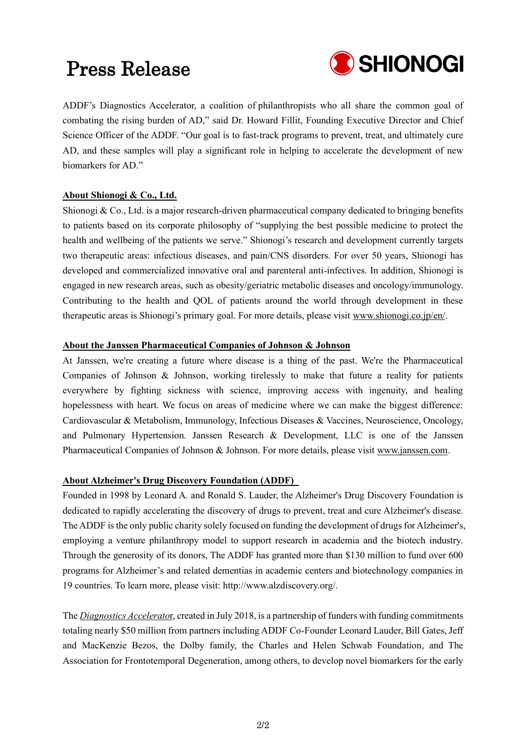## Press Release



ADDF's Diagnostics Accelerator, a coalition of philanthropists who all share the common goal of combating the rising burden of AD," said Dr. Howard Fillit, Founding Executive Director and Chief Science Officer of the ADDF. "Our goal is to fast-track programs to prevent, treat, and ultimately cure AD, and these samples will play a significant role in helping to accelerate the development of new biomarkers for AD."

#### **About Shionogi & Co., Ltd.**

Shionogi & Co., Ltd. is a major research-driven pharmaceutical company dedicated to bringing benefits to patients based on its corporate philosophy of "supplying the best possible medicine to protect the health and wellbeing of the patients we serve." Shionogi's research and development currently targets two therapeutic areas: infectious diseases, and pain/CNS disorders. For over 50 years, Shionogi has developed and commercialized innovative oral and parenteral anti-infectives. In addition, Shionogi is engaged in new research areas, such as obesity/geriatric metabolic diseases and oncology/immunology. Contributing to the health and QOL of patients around the world through development in these therapeutic areas is Shionogi's primary goal. For more details, please visit [www.shionogi.co.jp/en/.](http://cts.businesswire.com/ct/CT?id=smartlink&url=http%3A%2F%2Fwww.shionogi.co.jp%2Fen%2F&esheet=51480387&newsitemid=20161219005315&lan=en-US&anchor=www.shionogi.co.jp%2Fen%2F&index=4&md5=242b586811b56af76da7631c1f384ffa)

#### **About the Janssen Pharmaceutical Companies of Johnson & Johnson**

At Janssen, we're creating a future where disease is a thing of the past. We're the Pharmaceutical Companies of Johnson & Johnson, working tirelessly to make that future a reality for patients everywhere by fighting sickness with science, improving access with ingenuity, and healing hopelessness with heart. We focus on areas of medicine where we can make the biggest difference: Cardiovascular & Metabolism, Immunology, Infectious Diseases & Vaccines, Neuroscience, Oncology, and Pulmonary Hypertension. Janssen Research & Development, LLC is one of the Janssen Pharmaceutical Companies of Johnson & Johnson. For more details, please visit [www.janssen.com.](https://www.janssen.com/)

#### **About Alzheimer's Drug Discovery Foundation (ADDF)**

Founded in 1998 by Leonard A. and Ronald S. Lauder, the Alzheimer's Drug Discovery Foundation is dedicated to rapidly accelerating the discovery of drugs to prevent, treat and cure Alzheimer's disease. The ADDF is the only public charity solely focused on funding the development of drugs for Alzheimer's, employing a venture philanthropy model to support research in academia and the biotech industry. Through the generosity of its donors, The ADDF has granted more than \$130 million to fund over 600 programs for Alzheimer's and related dementias in academic centers and biotechnology companies in 19 countries. To learn more, please visit: [http://www.alzdiscovery.org/.](http://www.alzdiscovery.org/)

The *[Diagnostics Accelerato](https://www.alzdiscovery.org/research-and-grants/diagnostics-accelerator)*r, created in July 2018, is a partnership of funders with funding commitments totaling nearly \$50 million from partners including ADDF Co-Founder Leonard Lauder, Bill Gates, Jeff and MacKenzie Bezos, the Dolby family, the Charles and Helen Schwab Foundation, and The Association for Frontotemporal Degeneration, among others, to develop novel biomarkers for the early